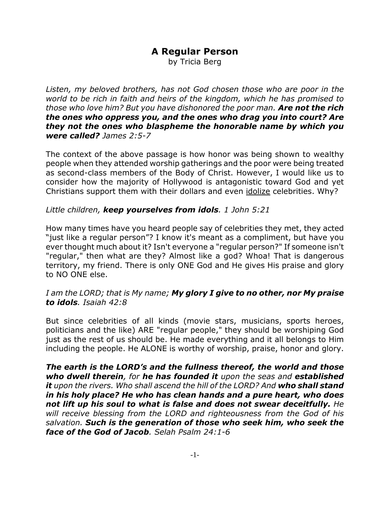# **A Regular Person**

by Tricia Berg

*Listen, my beloved brothers, has not God chosen those who are poor in the world to be rich in faith and heirs of the kingdom, which he has promised to those who love him? But you have dishonored the poor man. Are not the rich the ones who oppress you, and the ones who drag you into court? Are they not the ones who blaspheme the honorable name by which you were called? James 2:5-7*

The context of the above passage is how honor was being shown to wealthy people when they attended worship gatherings and the poor were being treated as second-class members of the Body of Christ. However, I would like us to consider how the majority of Hollywood is antagonistic toward God and yet Christians support them with their dollars and even idolize celebrities. Why?

#### *Little children, keep yourselves from idols. 1 John 5:21*

How many times have you heard people say of celebrities they met, they acted "just like a regular person"? I know it's meant as a compliment, but have you ever thought much about it? Isn't everyone a "regular person?" If someone isn't "regular," then what are they? Almost like a god? Whoa! That is dangerous territory, my friend. There is only ONE God and He gives His praise and glory to NO ONE else.

#### *I am the LORD; that is My name; My glory I give to no other, nor My praise to idols. Isaiah 42:8*

But since celebrities of all kinds (movie stars, musicians, sports heroes, politicians and the like) ARE "regular people," they should be worshiping God just as the rest of us should be. He made everything and it all belongs to Him including the people. He ALONE is worthy of worship, praise, honor and glory.

*The earth is the LORD's and the fullness thereof, the world and those who dwell therein, for he has founded it upon the seas and established it* upon the rivers. Who shall ascend the hill of the LORD? And who shall stand *in his holy place? He who has clean hands and a pure heart, who does not lift up his soul to what is false and does not swear deceitfully. He will receive blessing from the LORD and righteousness from the God of his salvation. Such is the generation of those who seek him, who seek the face of the God of Jacob. Selah Psalm 24:1-6*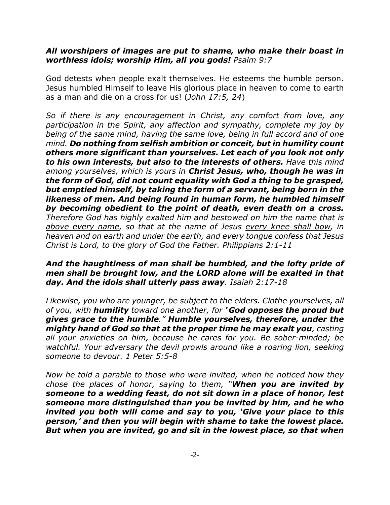#### *All worshipers of images are put to shame, who make their boast in worthless idols; worship Him, all you gods! Psalm 9:7*

God detests when people exalt themselves. He esteems the humble person. Jesus humbled Himself to leave His glorious place in heaven to come to earth as a man and die on a cross for us! (*John 17:5, 24*)

*So if there is any encouragement in Christ, any comfort from love, any participation in the Spirit, any affection and sympathy, complete my joy by being of the same mind, having the same love, being in full accord and of one mind. Do nothing from selfish ambition or conceit, but in humility count others more significant than yourselves. Let each of you look not only to his own interests, but also to the interests of others. Have this mind among yourselves, which is yours in Christ Jesus, who, though he was in the form of God, did not count equality with God a thing to be grasped, but emptied himself, by taking the form of a servant, being born in the likeness of men. And being found in human form, he humbled himself by becoming obedient to the point of death, even death on a cross. Therefore God has highly exalted him and bestowed on him the name that is above every name, so that at the name of Jesus every knee shall bow, in heaven and on earth and under the earth, and every tongue confess that Jesus Christ is Lord, to the glory of God the Father. Philippians 2:1-11*

#### *And the haughtiness of man shall be humbled, and the lofty pride of men shall be brought low, and the LORD alone will be exalted in that day. And the idols shall utterly pass away. Isaiah 2:17-18*

*Likewise, you who are younger, be subject to the elders. Clothe yourselves, all of you, with humility toward one another, for "God opposes the proud but gives grace to the humble." Humble yourselves, therefore, under the mighty hand of God so that at the proper time he may exalt you, casting all your anxieties on him, because he cares for you. Be sober-minded; be watchful. Your adversary the devil prowls around like a roaring lion, seeking someone to devour. 1 Peter 5:5-8*

*Now he told a parable to those who were invited, when he noticed how they chose the places of honor, saying to them, "When you are invited by someone to a wedding feast, do not sit down in a place of honor, lest someone more distinguished than you be invited by him, and he who invited you both will come and say to you, 'Give your place to this person,' and then you will begin with shame to take the lowest place. But when you are invited, go and sit in the lowest place, so that when*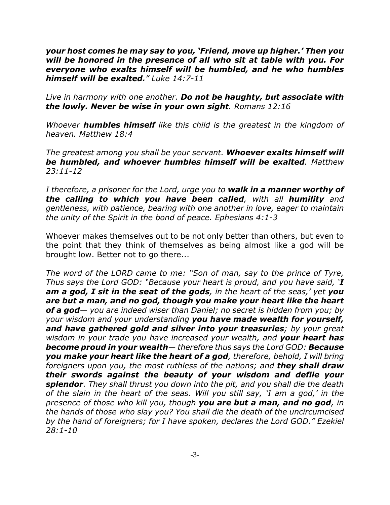*your host comes he may say to you, 'Friend, move up higher.' Then you will be honored in the presence of all who sit at table with you. For everyone who exalts himself will be humbled, and he who humbles himself will be exalted." Luke 14:7-11*

*Live in harmony with one another. Do not be haughty, but associate with the lowly. Never be wise in your own sight. Romans 12:16*

*Whoever humbles himself like this child is the greatest in the kingdom of heaven. Matthew 18:4*

*The greatest among you shall be your servant. Whoever exalts himself will be humbled, and whoever humbles himself will be exalted. Matthew 23:11-12*

*I therefore, a prisoner for the Lord, urge you to walk in a manner worthy of the calling to which you have been called, with all humility and gentleness, with patience, bearing with one another in love, eager to maintain the unity of the Spirit in the bond of peace. Ephesians 4:1-3*

Whoever makes themselves out to be not only better than others, but even to the point that they think of themselves as being almost like a god will be brought low. Better not to go there...

*The word of the LORD came to me: "Son of man, say to the prince of Tyre, Thus says the Lord GOD: "Because your heart is proud, and you have said, 'I am a god, I sit in the seat of the gods, in the heart of the seas,' yet you are but a man, and no god, though you make your heart like the heart of a god— you are indeed wiser than Daniel; no secret is hidden from you; by your wisdom and your understanding you have made wealth for yourself, and have gathered gold and silver into your treasuries; by your great wisdom in your trade you have increased your wealth, and your heart has become proud in your wealth— therefore thus says the Lord GOD: Because you make your heart like the heart of a god, therefore, behold, I will bring foreigners upon you, the most ruthless of the nations; and they shall draw their swords against the beauty of your wisdom and defile your splendor. They shall thrust you down into the pit, and you shall die the death of the slain in the heart of the seas. Will you still say, 'I am a god,' in the presence of those who kill you, though you are but a man, and no god, in the hands of those who slay you? You shall die the death of the uncircumcised by the hand of foreigners; for I have spoken, declares the Lord GOD." Ezekiel 28:1-10*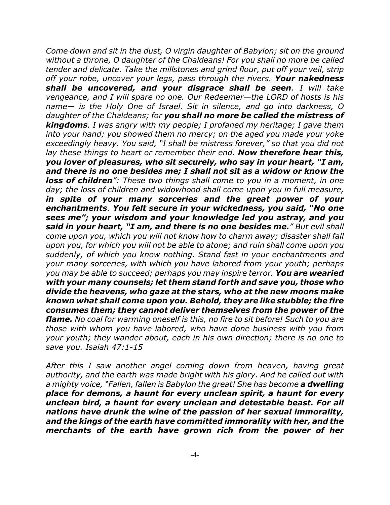*Come down and sit in the dust, O virgin daughter of Babylon; sit on the ground without a throne, O daughter of the Chaldeans! For you shall no more be called tender and delicate. Take the millstones and grind flour, put off your veil, strip off your robe, uncover your legs, pass through the rivers. Your nakedness shall be uncovered, and your disgrace shall be seen. I will take vengeance, and I will spare no one. Our Redeemer—the LORD of hosts is his name— is the Holy One of Israel. Sit in silence, and go into darkness, O daughter of the Chaldeans; for you shall no more be called the mistress of kingdoms. I was angry with my people; I profaned my heritage; I gave them into your hand; you showed them no mercy; on the aged you made your yoke exceedingly heavy. You said, "I shall be mistress forever," so that you did not lay these things to heart or remember their end. Now therefore hear this, you lover of pleasures, who sit securely, who say in your heart, "I am, and there is no one besides me; I shall not sit as a widow or know the loss of children": These two things shall come to you in a moment, in one day; the loss of children and widowhood shall come upon you in full measure, in spite of your many sorceries and the great power of your enchantments. You felt secure in your wickedness, you said, "No one sees me"; your wisdom and your knowledge led you astray, and you said in your heart, "I am, and there is no one besides me." But evil shall come upon you, which you will not know how to charm away; disaster shall fall upon you, for which you will not be able to atone; and ruin shall come upon you suddenly, of which you know nothing. Stand fast in your enchantments and your many sorceries, with which you have labored from your youth; perhaps you may be able to succeed; perhaps you may inspire terror. You are wearied with your many counsels; let them stand forth and save you, those who divide the heavens, who gaze at the stars, who at the new moons make known what shall come upon you. Behold, they are like stubble; the fire consumes them; they cannot deliver themselves from the power of the flame. No coal for warming oneself is this, no fire to sit before! Such to you are those with whom you have labored, who have done business with you from your youth; they wander about, each in his own direction; there is no one to save you. Isaiah 47:1-15* 

*After this I saw another angel coming down from heaven, having great authority, and the earth was made bright with his glory. And he called out with* a mighty voice, "Fallen, fallen is Babylon the great! She has become **a dwelling** *place for demons, a haunt for every unclean spirit, a haunt for every unclean bird, a haunt for every unclean and detestable beast. For all nations have drunk the wine of the passion of her sexual immorality, and the kings of the earth have committed immorality with her, and the merchants of the earth have grown rich from the power of her*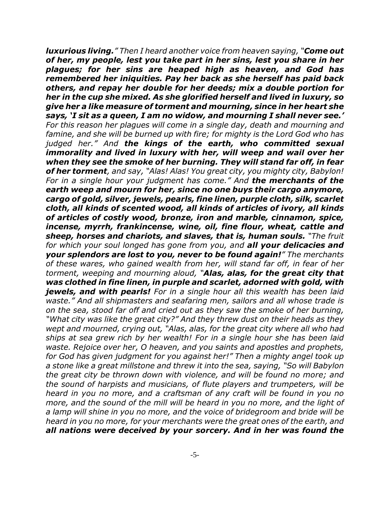*luxurious living." Then I heard another voice from heaven saying, "Come out of her, my people, lest you take part in her sins, lest you share in her plagues; for her sins are heaped high as heaven, and God has remembered her iniquities. Pay her back as she herself has paid back others, and repay her double for her deeds; mix a double portion for her in the cup she mixed. As she glorified herself and lived in luxury, so give her a like measure of torment and mourning, since in her heart she says, 'I sit as a queen, I am no widow, and mourning I shall never see.' For this reason her plagues will come in a single day, death and mourning and famine, and she will be burned up with fire; for mighty is the Lord God who has judged her." And the kings of the earth, who committed sexual immorality and lived in luxury with her, will weep and wail over her when they see the smoke of her burning. They will stand far off, in fear of her torment, and say, "Alas! Alas! You great city, you mighty city, Babylon! For in a single hour your judgment has come." And the merchants of the earth weep and mourn for her, since no one buys their cargo anymore, cargo of gold, silver, jewels, pearls, fine linen, purple cloth, silk, scarlet cloth, all kinds of scented wood, all kinds of articles of ivory, all kinds of articles of costly wood, bronze, iron and marble, cinnamon, spice, incense, myrrh, frankincense, wine, oil, fine flour, wheat, cattle and sheep, horses and chariots, and slaves, that is, human souls. "The fruit for which your soul longed has gone from you, and all your delicacies and your splendors are lost to you, never to be found again!" The merchants of these wares, who gained wealth from her, will stand far off, in fear of her torment, weeping and mourning aloud, "Alas, alas, for the great city that was clothed in fine linen, in purple and scarlet, adorned with gold, with jewels, and with pearls! For in a single hour all this wealth has been laid waste." And all shipmasters and seafaring men, sailors and all whose trade is on the sea, stood far off and cried out as they saw the smoke of her burning, "What city was like the great city?" And they threw dust on their heads as they wept and mourned, crying out, "Alas, alas, for the great city where all who had ships at sea grew rich by her wealth! For in a single hour she has been laid waste. Rejoice over her, O heaven, and you saints and apostles and prophets, for God has given judgment for you against her!" Then a mighty angel took up a stone like a great millstone and threw it into the sea, saying, "So will Babylon the great city be thrown down with violence, and will be found no more; and the sound of harpists and musicians, of flute players and trumpeters, will be heard in you no more, and a craftsman of any craft will be found in you no more, and the sound of the mill will be heard in you no more, and the light of a lamp will shine in you no more, and the voice of bridegroom and bride will be heard in you no more, for your merchants were the great ones of the earth, and all nations were deceived by your sorcery. And in her was found the*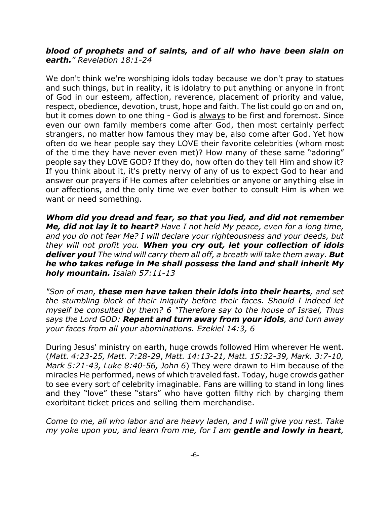#### *blood of prophets and of saints, and of all who have been slain on earth." Revelation 18:1-24*

We don't think we're worshiping idols today because we don't pray to statues and such things, but in reality, it is idolatry to put anything or anyone in front of God in our esteem, affection, reverence, placement of priority and value, respect, obedience, devotion, trust, hope and faith. The list could go on and on, but it comes down to one thing - God is always to be first and foremost. Since even our own family members come after God, then most certainly perfect strangers, no matter how famous they may be, also come after God. Yet how often do we hear people say they LOVE their favorite celebrities (whom most of the time they have never even met)? How many of these same "adoring" people say they LOVE GOD? If they do, how often do they tell Him and show it? If you think about it, it's pretty nervy of any of us to expect God to hear and answer our prayers if He comes after celebrities or anyone or anything else in our affections, and the only time we ever bother to consult Him is when we want or need something.

*Whom did you dread and fear, so that you lied, and did not remember Me, did not lay it to heart? Have I not held My peace, even for a long time, and you do not fear Me? I will declare your righteousness and your deeds, but they will not profit you. When you cry out, let your collection of idols deliver you! The wind will carry them all off, a breath will take them away. But he who takes refuge in Me shall possess the land and shall inherit My holy mountain. Isaiah 57:11-13*

*"Son of man, these men have taken their idols into their hearts, and set the stumbling block of their iniquity before their faces. Should I indeed let myself be consulted by them? 6 "Therefore say to the house of Israel, Thus says the Lord GOD: Repent and turn away from your idols, and turn away your faces from all your abominations. Ezekiel 14:3, 6*

During Jesus' ministry on earth, huge crowds followed Him wherever He went. (*Matt. 4:23-25, Matt. 7:28-29*, *Matt. 14:13-21, Matt. 15:32-39, Mark. 3:7-10, Mark 5:21-43, Luke 8:40-56, John 6*) They were drawn to Him because of the miracles He performed, news of which traveled fast. Today, huge crowds gather to see every sort of celebrity imaginable. Fans are willing to stand in long lines and they "love" these "stars" who have gotten filthy rich by charging them exorbitant ticket prices and selling them merchandise.

*Come to me, all who labor and are heavy laden, and I will give you rest. Take my yoke upon you, and learn from me, for I am gentle and lowly in heart,*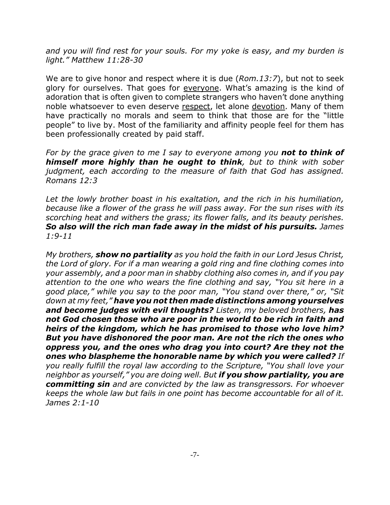*and you will find rest for your souls. For my yoke is easy, and my burden is light." Matthew 11:28-30*

We are to give honor and respect where it is due (*Rom.13:7*), but not to seek glory for ourselves. That goes for everyone. What's amazing is the kind of adoration that is often given to complete strangers who haven't done anything noble whatsoever to even deserve respect, let alone devotion. Many of them have practically no morals and seem to think that those are for the "little people" to live by. Most of the familiarity and affinity people feel for them has been professionally created by paid staff.

*For by the grace given to me I say to everyone among you not to think of himself more highly than he ought to think, but to think with sober judgment, each according to the measure of faith that God has assigned. Romans 12:3*

*Let the lowly brother boast in his exaltation, and the rich in his humiliation, because like a flower of the grass he will pass away. For the sun rises with its scorching heat and withers the grass; its flower falls, and its beauty perishes. So also will the rich man fade away in the midst of his pursuits. James 1:9-11*

*My brothers, show no partiality as you hold the faith in our Lord Jesus Christ, the Lord of glory. For if a man wearing a gold ring and fine clothing comes into your assembly, and a poor man in shabby clothing also comes in, and if you pay attention to the one who wears the fine clothing and say, "You sit here in a good place," while you say to the poor man, "You stand over there," or, "Sit down at my feet," have you not then made distinctions among yourselves and become judges with evil thoughts? Listen, my beloved brothers, has not God chosen those who are poor in the world to be rich in faith and heirs of the kingdom, which he has promised to those who love him? But you have dishonored the poor man. Are not the rich the ones who oppress you, and the ones who drag you into court? Are they not the ones who blaspheme the honorable name by which you were called? If you really fulfill the royal law according to the Scripture, "You shall love your neighbor as yourself," you are doing well. But if you show partiality, you are committing sin and are convicted by the law as transgressors. For whoever keeps the whole law but fails in one point has become accountable for all of it. James 2:1-10*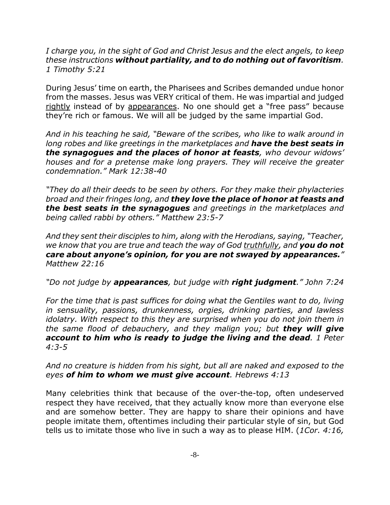*I charge you, in the sight of God and Christ Jesus and the elect angels, to keep these instructions without partiality, and to do nothing out of favoritism. 1 Timothy 5:21*

During Jesus' time on earth, the Pharisees and Scribes demanded undue honor from the masses. Jesus was VERY critical of them. He was impartial and judged rightly instead of by appearances. No one should get a "free pass" because they're rich or famous. We will all be judged by the same impartial God.

*And in his teaching he said, "Beware of the scribes, who like to walk around in long robes and like greetings in the marketplaces and have the best seats in the synagogues and the places of honor at feasts, who devour widows' houses and for a pretense make long prayers. They will receive the greater condemnation." Mark 12:38-40*

*"They do all their deeds to be seen by others. For they make their phylacteries broad and their fringes long, and they love the place of honor at feasts and the best seats in the synagogues and greetings in the marketplaces and being called rabbi by others." Matthew 23:5-7*

*And they sent their disciples to him, along with the Herodians, saying, "Teacher, we know that you are true and teach the way of God truthfully, and you do not care about anyone's opinion, for you are not swayed by appearances." Matthew 22:16*

*"Do not judge by appearances, but judge with right judgment." John 7:24*

*For the time that is past suffices for doing what the Gentiles want to do, living in sensuality, passions, drunkenness, orgies, drinking parties, and lawless idolatry. With respect to this they are surprised when you do not join them in the same flood of debauchery, and they malign you; but they will give account to him who is ready to judge the living and the dead. 1 Peter 4:3-5*

*And no creature is hidden from his sight, but all are naked and exposed to the eyes of him to whom we must give account. Hebrews 4:13*

Many celebrities think that because of the over-the-top, often undeserved respect they have received, that they actually know more than everyone else and are somehow better. They are happy to share their opinions and have people imitate them, oftentimes including their particular style of sin, but God tells us to imitate those who live in such a way as to please HIM. (*1Cor. 4:16,*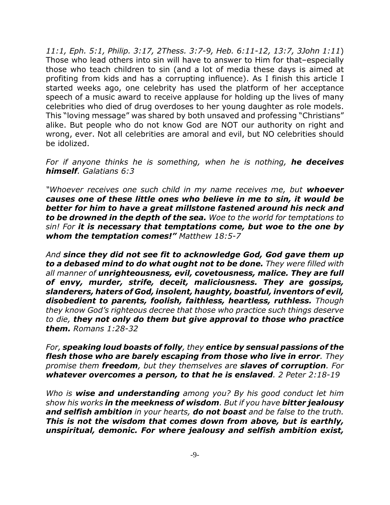*11:1, Eph. 5:1, Philip. 3:17, 2Thess. 3:7-9, Heb. 6:11-12, 13:7, 3John 1:11*) Those who lead others into sin will have to answer to Him for that–especially those who teach children to sin (and a lot of media these days is aimed at profiting from kids and has a corrupting influence). As I finish this article I started weeks ago, one celebrity has used the platform of her acceptance speech of a music award to receive applause for holding up the lives of many celebrities who died of drug overdoses to her young daughter as role models. This "loving message" was shared by both unsaved and professing "Christians" alike. But people who do not know God are NOT our authority on right and wrong, ever. Not all celebrities are amoral and evil, but NO celebrities should be idolized.

*For if anyone thinks he is something, when he is nothing, he deceives himself. Galatians 6:3*

*"Whoever receives one such child in my name receives me, but whoever causes one of these little ones who believe in me to sin, it would be better for him to have a great millstone fastened around his neck and to be drowned in the depth of the sea. Woe to the world for temptations to sin! For it is necessary that temptations come, but woe to the one by whom the temptation comes!" Matthew 18:5-7*

*And since they did not see fit to acknowledge God, God gave them up to a debased mind to do what ought not to be done. They were filled with all manner of unrighteousness, evil, covetousness, malice. They are full of envy, murder, strife, deceit, maliciousness. They are gossips, slanderers, haters of God, insolent, haughty, boastful, inventors of evil, disobedient to parents, foolish, faithless, heartless, ruthless. Though they know God's righteous decree that those who practice such things deserve to die, they not only do them but give approval to those who practice them. Romans 1:28-32*

*For, speaking loud boasts of folly, they entice by sensual passions of the flesh those who are barely escaping from those who live in error. They promise them freedom, but they themselves are slaves of corruption. For whatever overcomes a person, to that he is enslaved. 2 Peter 2:18-19*

*Who is wise and understanding among you? By his good conduct let him show his works in the meekness of wisdom. But if you have bitter jealousy and selfish ambition in your hearts, do not boast and be false to the truth. This is not the wisdom that comes down from above, but is earthly, unspiritual, demonic. For where jealousy and selfish ambition exist,*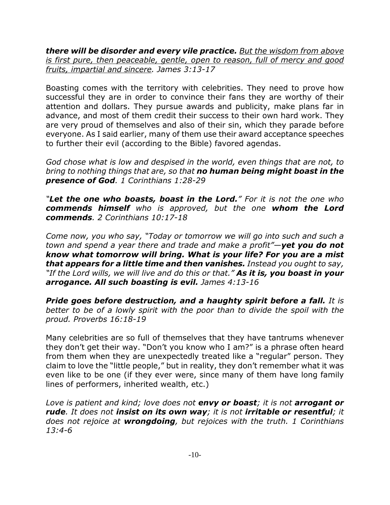*there will be disorder and every vile practice. But the wisdom from above is first pure, then peaceable, gentle, open to reason, full of mercy and good fruits, impartial and sincere. James 3:13-17*

Boasting comes with the territory with celebrities. They need to prove how successful they are in order to convince their fans they are worthy of their attention and dollars. They pursue awards and publicity, make plans far in advance, and most of them credit their success to their own hard work. They are very proud of themselves and also of their sin, which they parade before everyone. As I said earlier, many of them use their award acceptance speeches to further their evil (according to the Bible) favored agendas.

*God chose what is low and despised in the world, even things that are not, to bring to nothing things that are, so that no human being might boast in the presence of God. 1 Corinthians 1:28-29*

*"Let the one who boasts, boast in the Lord." For it is not the one who commends himself who is approved, but the one whom the Lord commends. 2 Corinthians 10:17-18*

*Come now, you who say, "Today or tomorrow we will go into such and such a town and spend a year there and trade and make a profit"—yet you do not know what tomorrow will bring. What is your life? For you are a mist that appears for a little time and then vanishes. Instead you ought to say, "If the Lord wills, we will live and do this or that." As it is, you boast in your arrogance. All such boasting is evil. James 4:13-16*

*Pride goes before destruction, and a haughty spirit before a fall. It is better to be of a lowly spirit with the poor than to divide the spoil with the proud. Proverbs 16:18-19*

Many celebrities are so full of themselves that they have tantrums whenever they don't get their way. "Don't you know who I am?" is a phrase often heard from them when they are unexpectedly treated like a "regular" person. They claim to love the "little people," but in reality, they don't remember what it was even like to be one (if they ever were, since many of them have long family lines of performers, inherited wealth, etc.)

*Love is patient and kind; love does not envy or boast; it is not arrogant or rude. It does not insist on its own way; it is not irritable or resentful; it does not rejoice at wrongdoing, but rejoices with the truth. 1 Corinthians 13:4-6*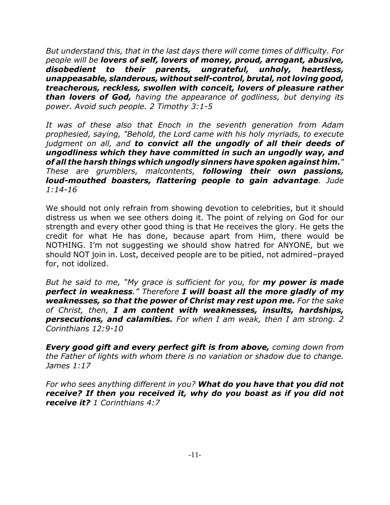*But understand this, that in the last days there will come times of difficulty. For people will be lovers of self, lovers of money, proud, arrogant, abusive, disobedient to their parents, ungrateful, unholy, heartless, unappeasable, slanderous, without self-control, brutal, not loving good, treacherous, reckless, swollen with conceit, lovers of pleasure rather than lovers of God, having the appearance of godliness, but denying its power. Avoid such people. 2 Timothy 3:1-5*

*It was of these also that Enoch in the seventh generation from Adam prophesied, saying, "Behold, the Lord came with his holy myriads, to execute judgment on all, and to convict all the ungodly of all their deeds of ungodliness which they have committed in such an ungodly way, and of all the harsh things which ungodly sinners have spoken against him." These are grumblers, malcontents, following their own passions, loud-mouthed boasters, flattering people to gain advantage. Jude 1:14-16*

We should not only refrain from showing devotion to celebrities, but it should distress us when we see others doing it. The point of relying on God for our strength and every other good thing is that He receives the glory. He gets the credit for what He has done, because apart from Him, there would be NOTHING. I'm not suggesting we should show hatred for ANYONE, but we should NOT join in. Lost, deceived people are to be pitied, not admired–prayed for, not idolized.

*But he said to me, "My grace is sufficient for you, for my power is made perfect in weakness." Therefore I will boast all the more gladly of my weaknesses, so that the power of Christ may rest upon me. For the sake of Christ, then, I am content with weaknesses, insults, hardships, persecutions, and calamities. For when I am weak, then I am strong. 2 Corinthians 12:9-10*

*Every good gift and every perfect gift is from above, coming down from the Father of lights with whom there is no variation or shadow due to change. James 1:17*

*For who sees anything different in you? What do you have that you did not receive? If then you received it, why do you boast as if you did not receive it? 1 Corinthians 4:7*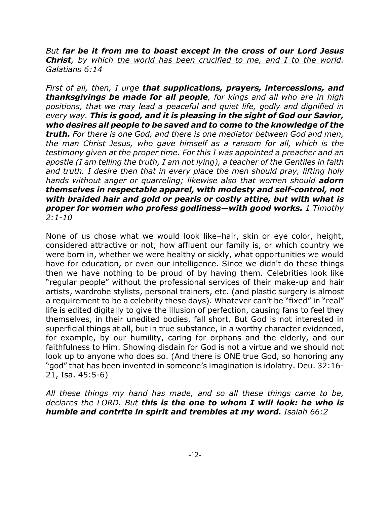*But far be it from me to boast except in the cross of our Lord Jesus Christ, by which the world has been crucified to me, and I to the world. Galatians 6:14*

*First of all, then, I urge that supplications, prayers, intercessions, and thanksgivings be made for all people, for kings and all who are in high positions, that we may lead a peaceful and quiet life, godly and dignified in every way. This is good, and it is pleasing in the sight of God our Savior, who desires all people to be saved and to come to the knowledge of the truth. For there is one God, and there is one mediator between God and men, the man Christ Jesus, who gave himself as a ransom for all, which is the testimony given at the proper time. For this I was appointed a preacher and an apostle (I am telling the truth, I am not lying), a teacher of the Gentiles in faith and truth. I desire then that in every place the men should pray, lifting holy hands without anger or quarreling; likewise also that women should adorn themselves in respectable apparel, with modesty and self-control, not with braided hair and gold or pearls or costly attire, but with what is proper for women who profess godliness—with good works. 1 Timothy 2:1-10*

None of us chose what we would look like–hair, skin or eye color, height, considered attractive or not, how affluent our family is, or which country we were born in, whether we were healthy or sickly, what opportunities we would have for education, or even our intelligence. Since we didn't do these things then we have nothing to be proud of by having them. Celebrities look like "regular people" without the professional services of their make-up and hair artists, wardrobe stylists, personal trainers, etc. (and plastic surgery is almost a requirement to be a celebrity these days). Whatever can't be "fixed" in "real" life is edited digitally to give the illusion of perfection, causing fans to feel they themselves, in their unedited bodies, fall short. But God is not interested in superficial things at all, but in true substance, in a worthy character evidenced, for example, by our humility, caring for orphans and the elderly, and our faithfulness to Him. Showing disdain for God is not a virtue and we should not look up to anyone who does so. (And there is ONE true God, so honoring any "god" that has been invented in someone's imagination is idolatry. Deu. 32:16- 21, Isa. 45:5-6)

*All these things my hand has made, and so all these things came to be, declares the LORD. But this is the one to whom I will look: he who is humble and contrite in spirit and trembles at my word. Isaiah 66:2*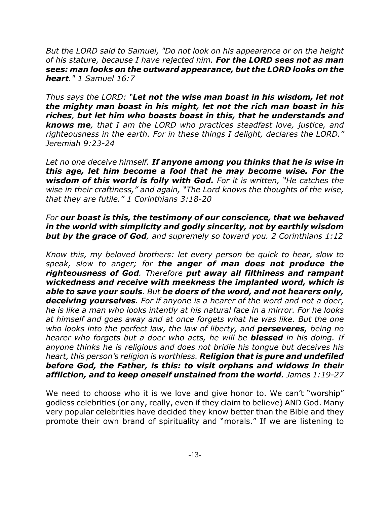*But the LORD said to Samuel, "Do not look on his appearance or on the height of his stature, because I have rejected him. For the LORD sees not as man sees: man looks on the outward appearance, but the LORD looks on the heart." 1 Samuel 16:7*

*Thus says the LORD: "Let not the wise man boast in his wisdom, let not the mighty man boast in his might, let not the rich man boast in his riches, but let him who boasts boast in this, that he understands and knows me, that I am the LORD who practices steadfast love, justice, and righteousness in the earth. For in these things I delight, declares the LORD." Jeremiah 9:23-24*

*Let no one deceive himself. If anyone among you thinks that he is wise in this age, let him become a fool that he may become wise. For the wisdom of this world is folly with God. For it is written, "He catches the wise in their craftiness," and again, "The Lord knows the thoughts of the wise, that they are futile." 1 Corinthians 3:18-20*

*For our boast is this, the testimony of our conscience, that we behaved in the world with simplicity and godly sincerity, not by earthly wisdom but by the grace of God, and supremely so toward you. 2 Corinthians 1:12*

*Know this, my beloved brothers: let every person be quick to hear, slow to speak, slow to anger; for the anger of man does not produce the righteousness of God. Therefore put away all filthiness and rampant wickedness and receive with meekness the implanted word, which is able to save your souls. But be doers of the word, and not hearers only, deceiving yourselves. For if anyone is a hearer of the word and not a doer, he is like a man who looks intently at his natural face in a mirror. For he looks at himself and goes away and at once forgets what he was like. But the one who looks into the perfect law, the law of liberty, and perseveres, being no hearer who forgets but a doer who acts, he will be blessed in his doing. If anyone thinks he is religious and does not bridle his tongue but deceives his heart, this person's religion is worthless. Religion that is pure and undefiled before God, the Father, is this: to visit orphans and widows in their affliction, and to keep oneself unstained from the world. James 1:19-27*

We need to choose who it is we love and give honor to. We can't "worship" godless celebrities (or any, really, even if they claim to believe) AND God. Many very popular celebrities have decided they know better than the Bible and they promote their own brand of spirituality and "morals." If we are listening to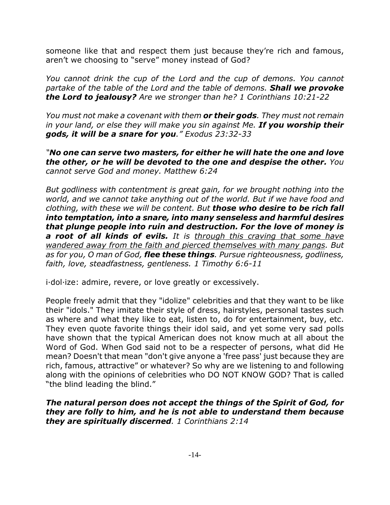someone like that and respect them just because they're rich and famous, aren't we choosing to "serve" money instead of God?

*You cannot drink the cup of the Lord and the cup of demons. You cannot partake of the table of the Lord and the table of demons. Shall we provoke the Lord to jealousy? Are we stronger than he? 1 Corinthians 10:21-22*

*You must not make a covenant with them or their gods. They must not remain in your land, or else they will make you sin against Me. If you worship their gods, it will be a snare for you." Exodus 23:32-33*

*"No one can serve two masters, for either he will hate the one and love the other, or he will be devoted to the one and despise the other. You cannot serve God and money. Matthew 6:24*

*But godliness with contentment is great gain, for we brought nothing into the world, and we cannot take anything out of the world. But if we have food and clothing, with these we will be content. But those who desire to be rich fall into temptation, into a snare, into many senseless and harmful desires that plunge people into ruin and destruction. For the love of money is a root of all kinds of evils. It is through this craving that some have wandered away from the faith and pierced themselves with many pangs. But as for you, O man of God, flee these things. Pursue righteousness, godliness, faith, love, steadfastness, gentleness. 1 Timothy 6:6-11*

i·dol·ize: admire, revere, or love greatly or excessively.

People freely admit that they "idolize" celebrities and that they want to be like their "idols." They imitate their style of dress, hairstyles, personal tastes such as where and what they like to eat, listen to, do for entertainment, buy, etc. They even quote favorite things their idol said, and yet some very sad polls have shown that the typical American does not know much at all about the Word of God. When God said not to be a respecter of persons, what did He mean? Doesn't that mean "don't give anyone a 'free pass' just because they are rich, famous, attractive" or whatever? So why are we listening to and following along with the opinions of celebrities who DO NOT KNOW GOD? That is called "the blind leading the blind."

### *The natural person does not accept the things of the Spirit of God, for they are folly to him, and he is not able to understand them because they are spiritually discerned. 1 Corinthians 2:14*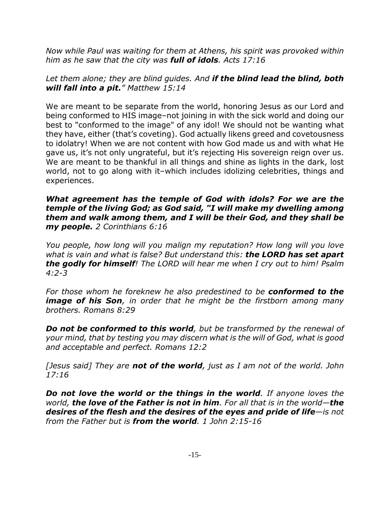*Now while Paul was waiting for them at Athens, his spirit was provoked within him as he saw that the city was full of idols. Acts 17:16*

## *Let them alone; they are blind guides. And if the blind lead the blind, both will fall into a pit." Matthew 15:14*

We are meant to be separate from the world, honoring Jesus as our Lord and being conformed to HIS image–not joining in with the sick world and doing our best to "conformed to the image" of any idol! We should not be wanting what they have, either (that's coveting). God actually likens greed and covetousness to idolatry! When we are not content with how God made us and with what He gave us, it's not only ungrateful, but it's rejecting His sovereign reign over us. We are meant to be thankful in all things and shine as lights in the dark, lost world, not to go along with it–which includes idolizing celebrities, things and experiences.

#### *What agreement has the temple of God with idols? For we are the temple of the living God; as God said, "I will make my dwelling among them and walk among them, and I will be their God, and they shall be my people. 2 Corinthians 6:16*

*You people, how long will you malign my reputation? How long will you love what is vain and what is false? But understand this: the LORD has set apart the godly for himself! The LORD will hear me when I cry out to him! Psalm 4:2-3*

*For those whom he foreknew he also predestined to be conformed to the image of his Son, in order that he might be the firstborn among many brothers. Romans 8:29*

*Do not be conformed to this world, but be transformed by the renewal of your mind, that by testing you may discern what is the will of God, what is good and acceptable and perfect. Romans 12:2*

*[Jesus said] They are not of the world, just as I am not of the world. John 17:16*

*Do not love the world or the things in the world. If anyone loves the world, the love of the Father is not in him. For all that is in the world—the desires of the flesh and the desires of the eyes and pride of life—is not from the Father but is from the world. 1 John 2:15-16*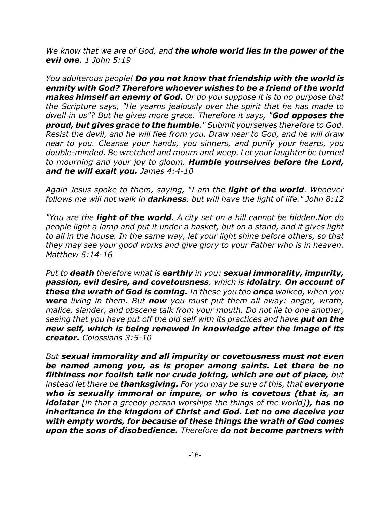*We know that we are of God, and the whole world lies in the power of the evil one. 1 John 5:19*

*You adulterous people! Do you not know that friendship with the world is enmity with God? Therefore whoever wishes to be a friend of the world makes himself an enemy of God. Or do you suppose it is to no purpose that the Scripture says, "He yearns jealously over the spirit that he has made to dwell in us"? But he gives more grace. Therefore it says, "God opposes the proud, but gives grace to the humble." Submit yourselves therefore to God. Resist the devil, and he will flee from you. Draw near to God, and he will draw near to you. Cleanse your hands, you sinners, and purify your hearts, you double-minded. Be wretched and mourn and weep. Let your laughter be turned to mourning and your joy to gloom. Humble yourselves before the Lord, and he will exalt you. James 4:4-10*

*Again Jesus spoke to them, saying, "I am the light of the world. Whoever follows me will not walk in darkness, but will have the light of life." John 8:12*

*"You are the light of the world. A city set on a hill cannot be hidden.Nor do people light a lamp and put it under a basket, but on a stand, and it gives light to all in the house. In the same way, let your light shine before others, so that they may see your good works and give glory to your Father who is in heaven. Matthew 5:14-16*

*Put to death therefore what is earthly in you: sexual immorality, impurity, passion, evil desire, and covetousness, which is idolatry. On account of these the wrath of God is coming. In these you too once walked, when you were living in them. But now you must put them all away: anger, wrath, malice, slander, and obscene talk from your mouth. Do not lie to one another, seeing that you have put off the old self with its practices and have put on the new self, which is being renewed in knowledge after the image of its creator. Colossians 3:5-10*

*But sexual immorality and all impurity or covetousness must not even be named among you, as is proper among saints. Let there be no filthiness nor foolish talk nor crude joking, which are out of place, but instead let there be thanksgiving. For you may be sure of this, that everyone who is sexually immoral or impure, or who is covetous (that is, an idolater [in that a greedy person worships the things of the world]), has no inheritance in the kingdom of Christ and God. Let no one deceive you with empty words, for because of these things the wrath of God comes upon the sons of disobedience. Therefore do not become partners with*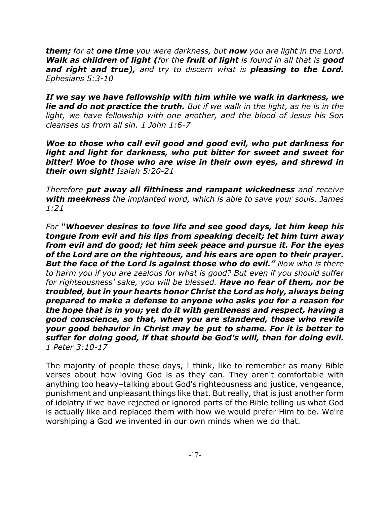*them; for at one time you were darkness, but now you are light in the Lord. Walk as children of light (for the fruit of light is found in all that is good and right and true), and try to discern what is pleasing to the Lord. Ephesians 5:3-10*

*If we say we have fellowship with him while we walk in darkness, we lie and do not practice the truth. But if we walk in the light, as he is in the light, we have fellowship with one another, and the blood of Jesus his Son cleanses us from all sin. 1 John 1:6-7*

*Woe to those who call evil good and good evil, who put darkness for light and light for darkness, who put bitter for sweet and sweet for bitter! Woe to those who are wise in their own eyes, and shrewd in their own sight! Isaiah 5:20-21* 

*Therefore put away all filthiness and rampant wickedness and receive with meekness the implanted word, which is able to save your souls. James 1:21*

*For "Whoever desires to love life and see good days, let him keep his tongue from evil and his lips from speaking deceit; let him turn away from evil and do good; let him seek peace and pursue it. For the eyes of the Lord are on the righteous, and his ears are open to their prayer. But the face of the Lord is against those who do evil." Now who is there to harm you if you are zealous for what is good? But even if you should suffer for righteousness' sake, you will be blessed. Have no fear of them, nor be troubled, but in your hearts honor Christ the Lord as holy, always being prepared to make a defense to anyone who asks you for a reason for the hope that is in you; yet do it with gentleness and respect, having a good conscience, so that, when you are slandered, those who revile your good behavior in Christ may be put to shame. For it is better to suffer for doing good, if that should be God's will, than for doing evil. 1 Peter 3:10-17* 

The majority of people these days, I think, like to remember as many Bible verses about how loving God is as they can. They aren't comfortable with anything too heavy–talking about God's righteousness and justice, vengeance, punishment and unpleasant things like that. But really, that is just another form of idolatry if we have rejected or ignored parts of the Bible telling us what God is actually like and replaced them with how we would prefer Him to be. We're worshiping a God we invented in our own minds when we do that.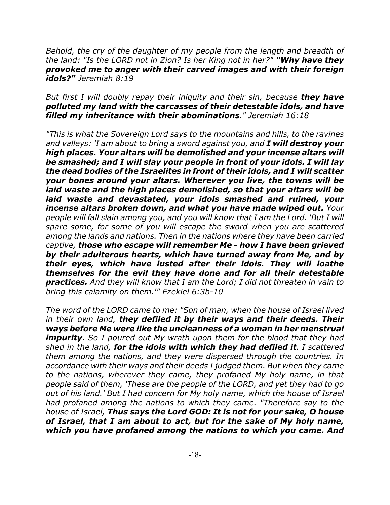*Behold, the cry of the daughter of my people from the length and breadth of the land: "Is the LORD not in Zion? Is her King not in her?" "Why have they provoked me to anger with their carved images and with their foreign idols?" Jeremiah 8:19*

*But first I will doubly repay their iniquity and their sin, because they have polluted my land with the carcasses of their detestable idols, and have filled my inheritance with their abominations." Jeremiah 16:18*

*"This is what the Sovereign Lord says to the mountains and hills, to the ravines and valleys: 'I am about to bring a sword against you, and I will destroy your high places. Your altars will be demolished and your incense altars will be smashed; and I will slay your people in front of your idols. I will lay the dead bodies of the Israelites in front of their idols, and I will scatter your bones around your altars. Wherever you live, the towns will be laid waste and the high places demolished, so that your altars will be laid waste and devastated, your idols smashed and ruined, your incense altars broken down, and what you have made wiped out. Your people will fall slain among you, and you will know that I am the Lord. 'But I will spare some, for some of you will escape the sword when you are scattered among the lands and nations. Then in the nations where they have been carried captive, those who escape will remember Me - how I have been grieved by their adulterous hearts, which have turned away from Me, and by their eyes, which have lusted after their idols. They will loathe themselves for the evil they have done and for all their detestable practices. And they will know that I am the Lord; I did not threaten in vain to bring this calamity on them.'" Ezekiel 6:3b-10*

*The word of the LORD came to me: "Son of man, when the house of Israel lived in their own land, they defiled it by their ways and their deeds. Their ways before Me were like the uncleanness of a woman in her menstrual impurity. So I poured out My wrath upon them for the blood that they had shed in the land, for the idols with which they had defiled it. I scattered them among the nations, and they were dispersed through the countries. In accordance with their ways and their deeds I judged them. But when they came to the nations, wherever they came, they profaned My holy name, in that people said of them, 'These are the people of the LORD, and yet they had to go out of his land.' But I had concern for My holy name, which the house of Israel had profaned among the nations to which they came. "Therefore say to the house of Israel, Thus says the Lord GOD: It is not for your sake, O house of Israel, that I am about to act, but for the sake of My holy name, which you have profaned among the nations to which you came. And*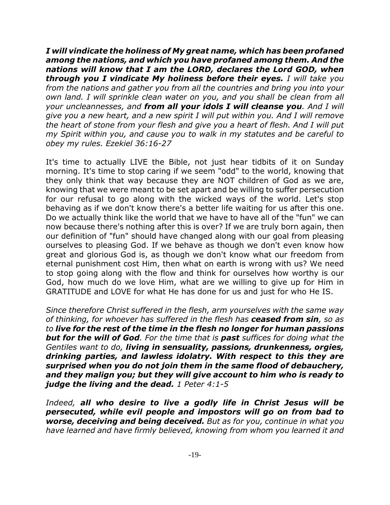*I will vindicate the holiness of My great name, which has been profaned among the nations, and which you have profaned among them. And the nations will know that I am the LORD, declares the Lord GOD, when through you I vindicate My holiness before their eyes. I will take you from the nations and gather you from all the countries and bring you into your own land. I will sprinkle clean water on you, and you shall be clean from all your uncleannesses, and from all your idols I will cleanse you. And I will give you a new heart, and a new spirit I will put within you. And I will remove the heart of stone from your flesh and give you a heart of flesh. And I will put my Spirit within you, and cause you to walk in my statutes and be careful to obey my rules. Ezekiel 36:16-27*

It's time to actually LIVE the Bible, not just hear tidbits of it on Sunday morning. It's time to stop caring if we seem "odd" to the world, knowing that they only think that way because they are NOT children of God as we are, knowing that we were meant to be set apart and be willing to suffer persecution for our refusal to go along with the wicked ways of the world. Let's stop behaving as if we don't know there's a better life waiting for us after this one. Do we actually think like the world that we have to have all of the "fun" we can now because there's nothing after this is over? If we are truly born again, then our definition of "fun" should have changed along with our goal from pleasing ourselves to pleasing God. If we behave as though we don't even know how great and glorious God is, as though we don't know what our freedom from eternal punishment cost Him, then what on earth is wrong with us? We need to stop going along with the flow and think for ourselves how worthy is our God, how much do we love Him, what are we willing to give up for Him in GRATITUDE and LOVE for what He has done for us and just for who He IS.

*Since therefore Christ suffered in the flesh, arm yourselves with the same way of thinking, for whoever has suffered in the flesh has ceased from sin, so as to live for the rest of the time in the flesh no longer for human passions but for the will of God. For the time that is past suffices for doing what the Gentiles want to do, living in sensuality, passions, drunkenness, orgies, drinking parties, and lawless idolatry. With respect to this they are surprised when you do not join them in the same flood of debauchery, and they malign you; but they will give account to him who is ready to judge the living and the dead. 1 Peter 4:1-5*

*Indeed, all who desire to live a godly life in Christ Jesus will be persecuted, while evil people and impostors will go on from bad to worse, deceiving and being deceived. But as for you, continue in what you have learned and have firmly believed, knowing from whom you learned it and*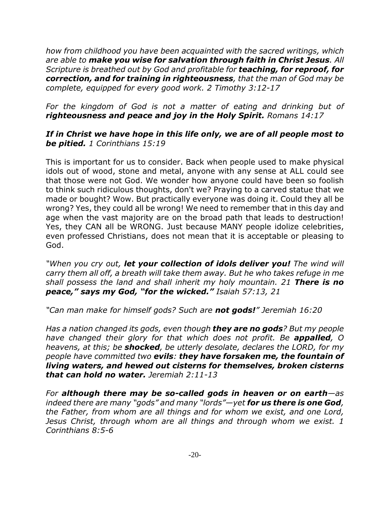*how from childhood you have been acquainted with the sacred writings, which are able to make you wise for salvation through faith in Christ Jesus. All Scripture is breathed out by God and profitable for teaching, for reproof, for correction, and for training in righteousness, that the man of God may be complete, equipped for every good work. 2 Timothy 3:12-17*

*For the kingdom of God is not a matter of eating and drinking but of righteousness and peace and joy in the Holy Spirit. Romans 14:17*

## *If in Christ we have hope in this life only, we are of all people most to be pitied. 1 Corinthians 15:19*

This is important for us to consider. Back when people used to make physical idols out of wood, stone and metal, anyone with any sense at ALL could see that those were not God. We wonder how anyone could have been so foolish to think such ridiculous thoughts, don't we? Praying to a carved statue that we made or bought? Wow. But practically everyone was doing it. Could they all be wrong? Yes, they could all be wrong! We need to remember that in this day and age when the vast majority are on the broad path that leads to destruction! Yes, they CAN all be WRONG. Just because MANY people idolize celebrities, even professed Christians, does not mean that it is acceptable or pleasing to God.

*"When you cry out, let your collection of idols deliver you! The wind will carry them all off, a breath will take them away. But he who takes refuge in me shall possess the land and shall inherit my holy mountain. 21 There is no peace," says my God, "for the wicked." Isaiah 57:13, 21*

*"Can man make for himself gods? Such are not gods!" Jeremiah 16:20*

*Has a nation changed its gods, even though they are no gods? But my people have changed their glory for that which does not profit. Be appalled, O heavens, at this; be shocked, be utterly desolate, declares the LORD, for my people have committed two evils: they have forsaken me, the fountain of living waters, and hewed out cisterns for themselves, broken cisterns that can hold no water. Jeremiah 2:11-13*

*For although there may be so-called gods in heaven or on earth—as indeed there are many "gods" and many "lords"—yet for us there is one God, the Father, from whom are all things and for whom we exist, and one Lord, Jesus Christ, through whom are all things and through whom we exist. 1 Corinthians 8:5-6*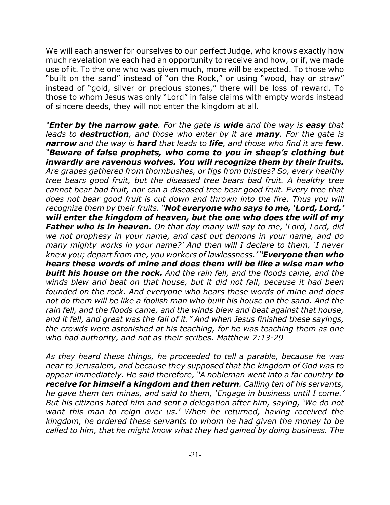We will each answer for ourselves to our perfect Judge, who knows exactly how much revelation we each had an opportunity to receive and how, or if, we made use of it. To the one who was given much, more will be expected. To those who "built on the sand" instead of "on the Rock," or using "wood, hay or straw" instead of "gold, silver or precious stones," there will be loss of reward. To those to whom Jesus was only "Lord" in false claims with empty words instead of sincere deeds, they will not enter the kingdom at all.

*"Enter by the narrow gate. For the gate is wide and the way is easy that leads to destruction, and those who enter by it are many. For the gate is narrow and the way is hard that leads to life, and those who find it are few. "Beware of false prophets, who come to you in sheep's clothing but inwardly are ravenous wolves. You will recognize them by their fruits. Are grapes gathered from thornbushes, or figs from thistles? So, every healthy tree bears good fruit, but the diseased tree bears bad fruit. A healthy tree cannot bear bad fruit, nor can a diseased tree bear good fruit. Every tree that does not bear good fruit is cut down and thrown into the fire. Thus you will recognize them by their fruits. "Not everyone who says to me, 'Lord, Lord,' will enter the kingdom of heaven, but the one who does the will of my Father who is in heaven. On that day many will say to me, 'Lord, Lord, did we not prophesy in your name, and cast out demons in your name, and do many mighty works in your name?' And then will I declare to them, 'I never knew you; depart from me, you workers of lawlessness.' "Everyone then who hears these words of mine and does them will be like a wise man who built his house on the rock. And the rain fell, and the floods came, and the winds blew and beat on that house, but it did not fall, because it had been founded on the rock. And everyone who hears these words of mine and does not do them will be like a foolish man who built his house on the sand. And the rain fell, and the floods came, and the winds blew and beat against that house, and it fell, and great was the fall of it." And when Jesus finished these sayings, the crowds were astonished at his teaching, for he was teaching them as one who had authority, and not as their scribes. Matthew 7:13-29*

*As they heard these things, he proceeded to tell a parable, because he was near to Jerusalem, and because they supposed that the kingdom of God was to appear immediately. He said therefore, "A nobleman went into a far country to receive for himself a kingdom and then return. Calling ten of his servants, he gave them ten minas, and said to them, 'Engage in business until I come.' But his citizens hated him and sent a delegation after him, saying, 'We do not want this man to reign over us.' When he returned, having received the kingdom, he ordered these servants to whom he had given the money to be called to him, that he might know what they had gained by doing business. The*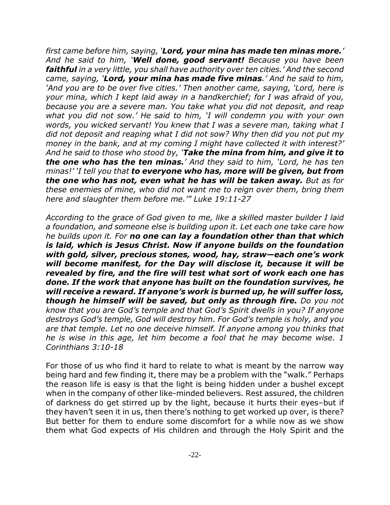*first came before him, saying, 'Lord, your mina has made ten minas more.' And he said to him, 'Well done, good servant! Because you have been faithful in a very little, you shall have authority over ten cities.' And the second came, saying, 'Lord, your mina has made five minas.' And he said to him, 'And you are to be over five cities.' Then another came, saying, 'Lord, here is your mina, which I kept laid away in a handkerchief; for I was afraid of you, because you are a severe man. You take what you did not deposit, and reap what you did not sow.' He said to him, 'I will condemn you with your own words, you wicked servant! You knew that I was a severe man, taking what I did not deposit and reaping what I did not sow? Why then did you not put my money in the bank, and at my coming I might have collected it with interest?' And he said to those who stood by, 'Take the mina from him, and give it to the one who has the ten minas.' And they said to him, 'Lord, he has ten minas!' 'I tell you that to everyone who has, more will be given, but from the one who has not, even what he has will be taken away. But as for these enemies of mine, who did not want me to reign over them, bring them here and slaughter them before me.'" Luke 19:11-27*

*According to the grace of God given to me, like a skilled master builder I laid a foundation, and someone else is building upon it. Let each one take care how he builds upon it. For no one can lay a foundation other than that which is laid, which is Jesus Christ. Now if anyone builds on the foundation with gold, silver, precious stones, wood, hay, straw—each one's work will become manifest, for the Day will disclose it, because it will be revealed by fire, and the fire will test what sort of work each one has done. If the work that anyone has built on the foundation survives, he will receive a reward. If anyone's work is burned up, he will suffer loss, though he himself will be saved, but only as through fire. Do you not know that you are God's temple and that God's Spirit dwells in you? If anyone destroys God's temple, God will destroy him. For God's temple is holy, and you are that temple. Let no one deceive himself. If anyone among you thinks that he is wise in this age, let him become a fool that he may become wise. 1 Corinthians 3:10-18*

For those of us who find it hard to relate to what is meant by the narrow way being hard and few finding it, there may be a problem with the "walk." Perhaps the reason life is easy is that the light is being hidden under a bushel except when in the company of other like-minded believers. Rest assured, the children of darkness do get stirred up by the light, because it hurts their eyes–but if they haven't seen it in us, then there's nothing to get worked up over, is there? But better for them to endure some discomfort for a while now as we show them what God expects of His children and through the Holy Spirit and the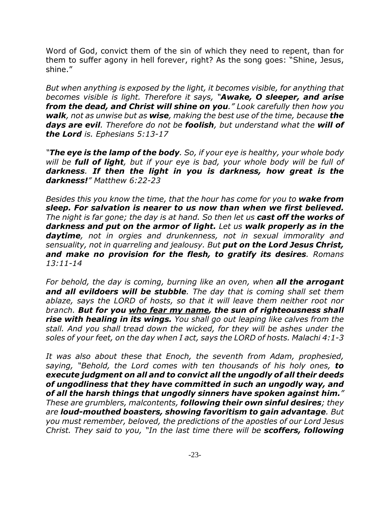Word of God, convict them of the sin of which they need to repent, than for them to suffer agony in hell forever, right? As the song goes: "Shine, Jesus, shine."

*But when anything is exposed by the light, it becomes visible, for anything that becomes visible is light. Therefore it says, "Awake, O sleeper, and arise from the dead, and Christ will shine on you." Look carefully then how you walk, not as unwise but as wise, making the best use of the time, because the days are evil. Therefore do not be foolish, but understand what the will of the Lord is. Ephesians 5:13-17*

*"The eye is the lamp of the body. So, if your eye is healthy, your whole body will be full of light, but if your eye is bad, your whole body will be full of darkness. If then the light in you is darkness, how great is the darkness!" Matthew 6:22-23*

*Besides this you know the time, that the hour has come for you to wake from sleep. For salvation is nearer to us now than when we first believed. The night is far gone; the day is at hand. So then let us cast off the works of darkness and put on the armor of light. Let us walk properly as in the daytime, not in orgies and drunkenness, not in sexual immorality and sensuality, not in quarreling and jealousy. But put on the Lord Jesus Christ, and make no provision for the flesh, to gratify its desires. Romans 13:11-14*

*For behold, the day is coming, burning like an oven, when all the arrogant and all evildoers will be stubble. The day that is coming shall set them ablaze, says the LORD of hosts, so that it will leave them neither root nor branch. But for you who fear my name, the sun of righteousness shall rise with healing in its wings. You shall go out leaping like calves from the stall. And you shall tread down the wicked, for they will be ashes under the soles of your feet, on the day when I act, says the LORD of hosts. Malachi 4:1-3*

*It was also about these that Enoch, the seventh from Adam, prophesied, saying, "Behold, the Lord comes with ten thousands of his holy ones, to execute judgment on all and to convict all the ungodly of all their deeds of ungodliness that they have committed in such an ungodly way, and of all the harsh things that ungodly sinners have spoken against him." These are grumblers, malcontents, following their own sinful desires; they are loud-mouthed boasters, showing favoritism to gain advantage. But you must remember, beloved, the predictions of the apostles of our Lord Jesus Christ. They said to you, "In the last time there will be scoffers, following*